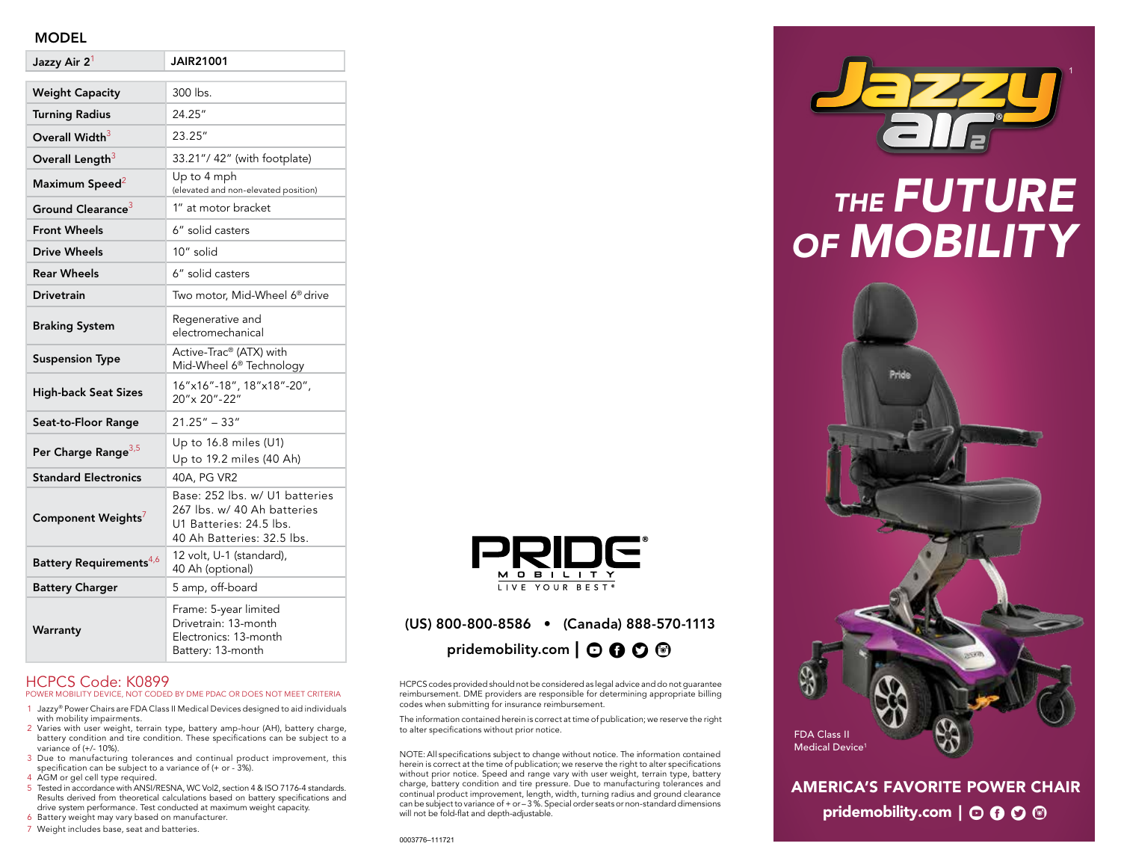#### MODEL

| Jazzy Air 2 <sup>1</sup>            | <b>JAIR21001</b>                                                                                                       |
|-------------------------------------|------------------------------------------------------------------------------------------------------------------------|
| <b>Weight Capacity</b>              | 300 lbs.                                                                                                               |
| <b>Turning Radius</b>               | 24.25"                                                                                                                 |
| Overall Width <sup>3</sup>          | 23.25"                                                                                                                 |
| Overall Length <sup>3</sup>         | 33.21"/ 42" (with footplate)                                                                                           |
| Maximum Speed <sup>2</sup>          | Up to 4 mph<br>(elevated and non-elevated position)                                                                    |
| Ground Clearance <sup>3</sup>       | 1" at motor bracket                                                                                                    |
| <b>Front Wheels</b>                 | 6" solid casters                                                                                                       |
| Drive Wheels                        | 10" solid                                                                                                              |
| <b>Rear Wheels</b>                  | 6" solid casters                                                                                                       |
| <b>Drivetrain</b>                   | Two motor, Mid-Wheel 6 <sup>®</sup> drive                                                                              |
| <b>Braking System</b>               | Regenerative and<br>electromechanical                                                                                  |
| <b>Suspension Type</b>              | Active-Trac® (ATX) with<br>Mid-Wheel 6 <sup>®</sup> Technology                                                         |
| <b>High-back Seat Sizes</b>         | 16"x16"-18", 18"x18"-20",<br>20" x 20" - 22"                                                                           |
| Seat-to-Floor Range                 | $21.25" - 33"$                                                                                                         |
| Per Charge Range <sup>3,5</sup>     | Up to $16.8$ miles (U1)<br>Up to 19.2 miles (40 Ah)                                                                    |
| <b>Standard Electronics</b>         | 40A, PG VR2                                                                                                            |
| Component Weights'                  | Base: 252 lbs. w/ U1 batteries<br>267 lbs. w/ 40 Ah batteries<br>U1 Batteries: 24.5 lbs.<br>40 Ah Batteries: 32.5 lbs. |
| Battery Requirements <sup>4,6</sup> | 12 volt, U-1 (standard),<br>40 Ah (optional)                                                                           |
| <b>Battery Charger</b>              | 5 amp, off-board                                                                                                       |
| Warranty                            | Frame: 5-year limited<br>Drivetrain: 13-month<br>Electronics: 13-month<br>Battery: 13-month                            |

#### HCPCS Code: K0899 POWER MOBILITY DEVICE, NOT CODED BY DME PDAC OR DOES NOT MEET CRITERIA

- 1 Jazzy® Power Chairs are FDA Class II Medical Devices designed to aid individuals with mobility impairments.
- 2 Varies with user weight, terrain type, battery amp-hour (AH), battery charge, battery condition and tire condition. These specifications can be subject to a variance of (+/- 10%).
- 3 Due to manufacturing tolerances and continual product improvement, this specification can be subject to a variance of (+ or - 3%).
- 4 AGM or gel cell type required.
- 5 Tested in accordance with ANSI/RESNA, WC Vol2, section 4 & ISO 7176-4 standards. Results derived from theoretical calculations based on battery specifications and drive system performance. Test conducted at maximum weight capacity.
- 6 Battery weight may vary based on manufacturer.
- 7 Weight includes base, seat and batteries.



#### (US) 800-800-8586 • (Canada) 888-570-1113 pridemobility.com  $\mathbf{O} \mathbf{O} \mathbf{O} \mathbf{O}$

HCPCS codes provided should not be considered as legal advice and do not guarantee reimbursement. DME providers are responsible for determining appropriate billing codes when submitting for insurance reimbursement.

The information contained herein is correct at time of publication; we reserve the right to alter specifications without prior notice.

NOTE: All specifications subject to change without notice. The information contained herein is correct at the time of publication; we reserve the right to alter specifications without prior notice. Speed and range vary with user weight, terrain type, battery charge, battery condition and tire pressure. Due to manufacturing tolerances and continual product improvement, length, width, turning radius and ground clearance can be subject to variance of + or – 3 %. Special order seats or non-standard dimensions will not be fold-flat and depth-adjustable.



## *THE FUTURE OF MOBILITY*



AMERICA'S FAVORITE POWER CHAIR pridemobility.com  $\vert \odot \mathbf{0} \odot \mathbf{\odot}$